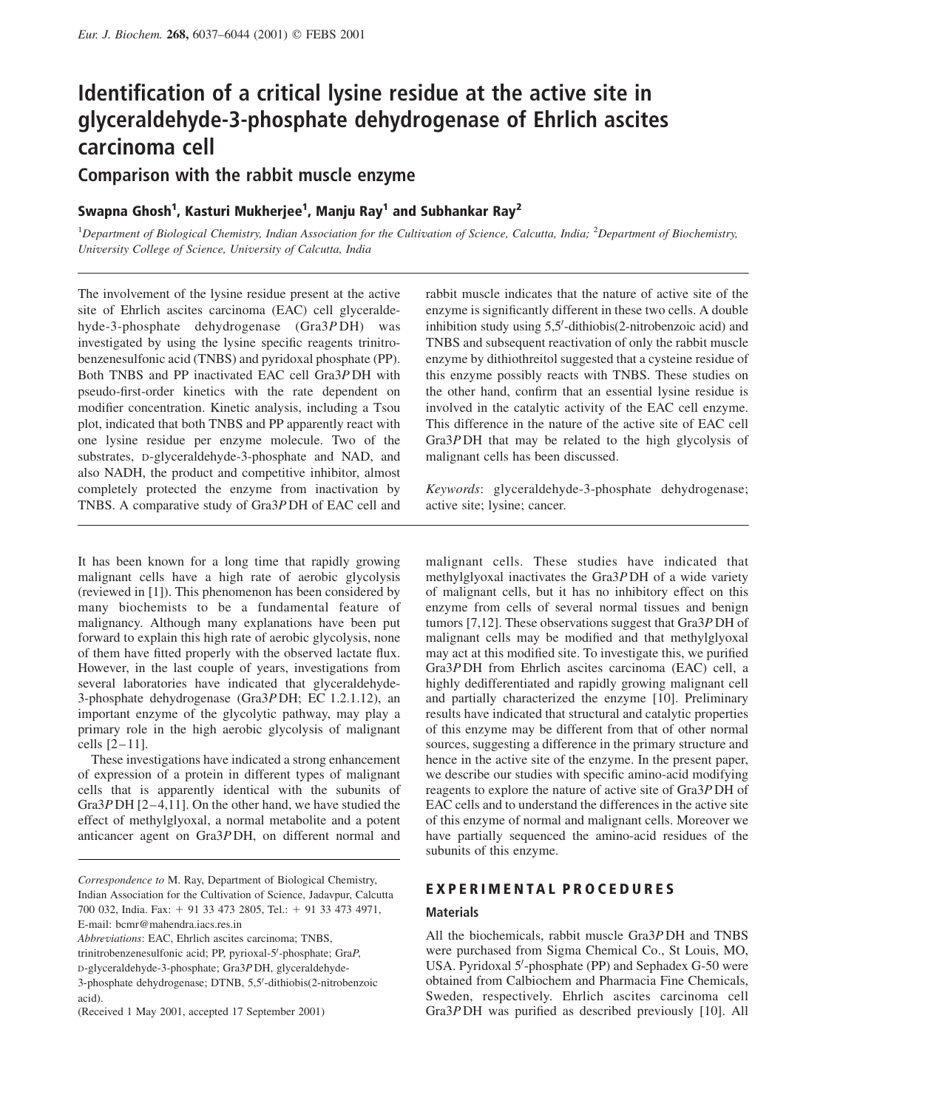# Identification of a critical lysine residue at the active site in glyceraldehyde-3-phosphate dehydrogenase of Ehrlich ascites carcinoma cell

Comparison with the rabbit muscle enzyme

## Swapna Ghosh $^1$ , Kasturi Mukherjee $^1$ , Manju Ray $^1$  and Subhankar Ray $^2$

<sup>1</sup>Department of Biological Chemistry, Indian Association for the Cultivation of Science, Calcutta, India; <sup>2</sup>Department of Biochemistry, University College of Science, University of Calcutta, India

The involvement of the lysine residue present at the active site of Ehrlich ascites carcinoma (EAC) cell glyceraldehyde-3-phosphate dehydrogenase (Gra3P DH) was investigated by using the lysine specific reagents trinitrobenzenesulfonic acid (TNBS) and pyridoxal phosphate (PP). Both TNBS and PP inactivated EAC cell Gra3P DH with pseudo-first-order kinetics with the rate dependent on modifier concentration. Kinetic analysis, including a Tsou plot, indicated that both TNBS and PP apparently react with one lysine residue per enzyme molecule. Two of the substrates, D-glyceraldehyde-3-phosphate and NAD, and also NADH, the product and competitive inhibitor, almost completely protected the enzyme from inactivation by TNBS. A comparative study of Gra3P DH of EAC cell and

It has been known for a long time that rapidly growing malignant cells have a high rate of aerobic glycolysis (reviewed in [1]). This phenomenon has been considered by many biochemists to be a fundamental feature of malignancy. Although many explanations have been put forward to explain this high rate of aerobic glycolysis, none of them have fitted properly with the observed lactate flux. However, in the last couple of years, investigations from several laboratories have indicated that glyceraldehyde-3-phosphate dehydrogenase (Gra3P DH; EC 1.2.1.12), an important enzyme of the glycolytic pathway, may play a primary role in the high aerobic glycolysis of malignant cells  $\left[2-11\right]$ .

These investigations have indicated a strong enhancement of expression of a protein in different types of malignant cells that is apparently identical with the subunits of Gra $3P$  DH [2-4,11]. On the other hand, we have studied the effect of methylglyoxal, a normal metabolite and a potent anticancer agent on Gra3P DH, on different normal and

Abbreviations: EAC, Ehrlich ascites carcinoma; TNBS,

rabbit muscle indicates that the nature of active site of the enzyme is significantly different in these two cells. A double inhibition study using 5,5'-dithiobis(2-nitrobenzoic acid) and TNBS and subsequent reactivation of only the rabbit muscle enzyme by dithiothreitol suggested that a cysteine residue of this enzyme possibly reacts with TNBS. These studies on the other hand, confirm that an essential lysine residue is involved in the catalytic activity of the EAC cell enzyme. This difference in the nature of the active site of EAC cell Gra3P DH that may be related to the high glycolysis of malignant cells has been discussed.

Keywords: glyceraldehyde-3-phosphate dehydrogenase; active site; lysine; cancer.

malignant cells. These studies have indicated that methylglyoxal inactivates the Gra3P DH of a wide variety of malignant cells, but it has no inhibitory effect on this enzyme from cells of several normal tissues and benign tumors [7,12]. These observations suggest that Gra3P DH of malignant cells may be modified and that methylglyoxal may act at this modified site. To investigate this, we purified Gra3P DH from Ehrlich ascites carcinoma (EAC) cell, a highly dedifferentiated and rapidly growing malignant cell and partially characterized the enzyme [10]. Preliminary results have indicated that structural and catalytic properties of this enzyme may be different from that of other normal sources, suggesting a difference in the primary structure and hence in the active site of the enzyme. In the present paper, we describe our studies with specific amino-acid modifying reagents to explore the nature of active site of Gra3P DH of EAC cells and to understand the differences in the active site of this enzyme of normal and malignant cells. Moreover we have partially sequenced the amino-acid residues of the subunits of this enzyme.

## EXPERIMENTAL PROCEDURES

#### **Materials**

All the biochemicals, rabbit muscle Gra3P DH and TNBS were purchased from Sigma Chemical Co., St Louis, MO, USA. Pyridoxal 5'-phosphate (PP) and Sephadex G-50 were obtained from Calbiochem and Pharmacia Fine Chemicals, Sweden, respectively. Ehrlich ascites carcinoma cell Gra3P DH was purified as described previously [10]. All

Correspondence to M. Ray, Department of Biological Chemistry, Indian Association for the Cultivation of Science, Jadavpur, Calcutta 700 032, India. Fax: + 91 33 473 2805, Tel.: + 91 33 473 4971, E-mail: bcmr@mahendra.iacs.res.in

trinitrobenzenesulfonic acid; PP, pyrioxal-5'-phosphate; GraP,

D-glyceraldehyde-3-phosphate; Gra3P DH, glyceraldehyde-

<sup>3-</sup>phosphate dehydrogenase; DTNB, 5,5'-dithiobis(2-nitrobenzoic acid).

<sup>(</sup>Received 1 May 2001, accepted 17 September 2001)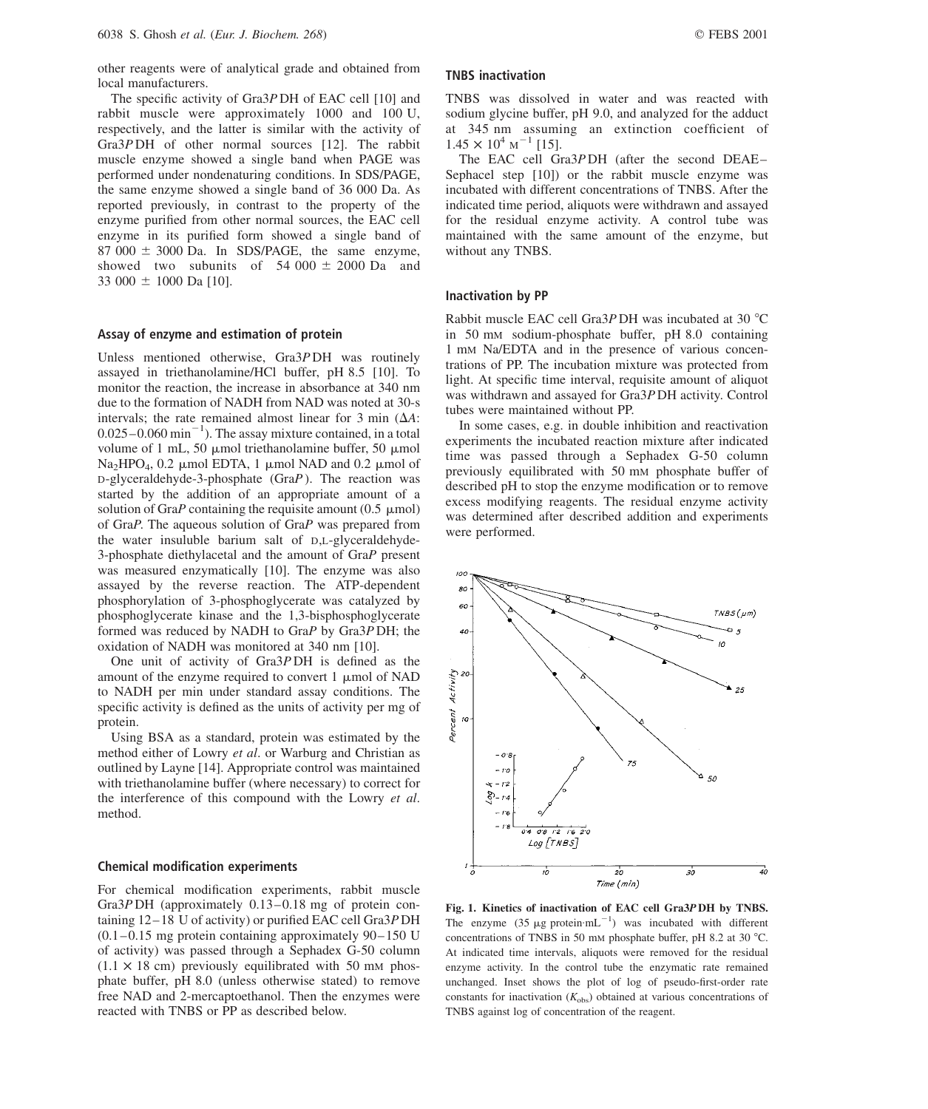other reagents were of analytical grade and obtained from local manufacturers.

The specific activity of Gra3P DH of EAC cell [10] and rabbit muscle were approximately 1000 and 100 U, respectively, and the latter is similar with the activity of Gra3P DH of other normal sources [12]. The rabbit muscle enzyme showed a single band when PAGE was performed under nondenaturing conditions. In SDS/PAGE, the same enzyme showed a single band of 36 000 Da. As reported previously, in contrast to the property of the enzyme purified from other normal sources, the EAC cell enzyme in its purified form showed a single band of  $87,000 \pm 3000$  Da. In SDS/PAGE, the same enzyme, showed two subunits of  $54\ 000 \pm 2000$  Da and 33 000  $\pm$  1000 Da [10].

#### Assay of enzyme and estimation of protein

Unless mentioned otherwise, Gra3P DH was routinely assayed in triethanolamine/HCl buffer, pH 8.5 [10]. To monitor the reaction, the increase in absorbance at 340 nm due to the formation of NADH from NAD was noted at 30-s intervals; the rate remained almost linear for 3 min  $(\Delta A)$ :  $0.025-0.060$  min<sup>-1</sup>). The assay mixture contained, in a total volume of 1 mL, 50  $\mu$ mol triethanolamine buffer, 50  $\mu$ mol  $Na<sub>2</sub>HPO<sub>4</sub>$ , 0.2  $\mu$ mol EDTA, 1  $\mu$ mol NAD and 0.2  $\mu$ mol of  $D$ -glyceraldehyde-3-phosphate (GraP). The reaction was started by the addition of an appropriate amount of a solution of GraP containing the requisite amount  $(0.5 \mu \text{mol})$ of GraP. The aqueous solution of GraP was prepared from the water insuluble barium salt of D,L-glyceraldehyde-3-phosphate diethylacetal and the amount of GraP present was measured enzymatically [10]. The enzyme was also assayed by the reverse reaction. The ATP-dependent phosphorylation of 3-phosphoglycerate was catalyzed by phosphoglycerate kinase and the 1,3-bisphosphoglycerate formed was reduced by NADH to GraP by Gra3P DH; the oxidation of NADH was monitored at 340 nm [10].

One unit of activity of Gra3P DH is defined as the amount of the enzyme required to convert  $1 \mu$ mol of NAD to NADH per min under standard assay conditions. The specific activity is defined as the units of activity per mg of protein.

Using BSA as a standard, protein was estimated by the method either of Lowry et al. or Warburg and Christian as outlined by Layne [14]. Appropriate control was maintained with triethanolamine buffer (where necessary) to correct for the interference of this compound with the Lowry et al. method.

#### Chemical modification experiments

For chemical modification experiments, rabbit muscle Gra $3P$  DH (approximately 0.13–0.18 mg of protein containing 12 –18 U of activity) or purified EAC cell Gra3P DH  $(0.1 - 0.15$  mg protein containing approximately 90–150 U of activity) was passed through a Sephadex G-50 column  $(1.1 \times 18$  cm) previously equilibrated with 50 mm phosphate buffer, pH 8.0 (unless otherwise stated) to remove free NAD and 2-mercaptoethanol. Then the enzymes were reacted with TNBS or PP as described below.

## TNBS inactivation

TNBS was dissolved in water and was reacted with sodium glycine buffer, pH 9.0, and analyzed for the adduct at 345 nm assuming an extinction coefficient of  $1.45 \times 10^4$  M<sup>-1</sup> [15].

The EAC cell Gra3P DH (after the second DEAE – Sephacel step [10]) or the rabbit muscle enzyme was incubated with different concentrations of TNBS. After the indicated time period, aliquots were withdrawn and assayed for the residual enzyme activity. A control tube was maintained with the same amount of the enzyme, but without any TNBS.

#### Inactivation by PP

Rabbit muscle EAC cell Gra3P DH was incubated at 30 °C in 50 mM sodium-phosphate buffer, pH 8.0 containing 1 mM Na/EDTA and in the presence of various concentrations of PP. The incubation mixture was protected from light. At specific time interval, requisite amount of aliquot was withdrawn and assayed for Gra3P DH activity. Control tubes were maintained without PP.

In some cases, e.g. in double inhibition and reactivation experiments the incubated reaction mixture after indicated time was passed through a Sephadex G-50 column previously equilibrated with 50 mM phosphate buffer of described pH to stop the enzyme modification or to remove excess modifying reagents. The residual enzyme activity was determined after described addition and experiments were performed.



Fig. 1. Kinetics of inactivation of EAC cell Gra3P DH by TNBS. The enzyme  $(35 \mu g)$  protein $mL^{-1}$ ) was incubated with different concentrations of TNBS in 50 mm phosphate buffer, pH 8.2 at 30  $^{\circ}$ C. At indicated time intervals, aliquots were removed for the residual enzyme activity. In the control tube the enzymatic rate remained unchanged. Inset shows the plot of log of pseudo-first-order rate constants for inactivation  $(K_{obs})$  obtained at various concentrations of TNBS against log of concentration of the reagent.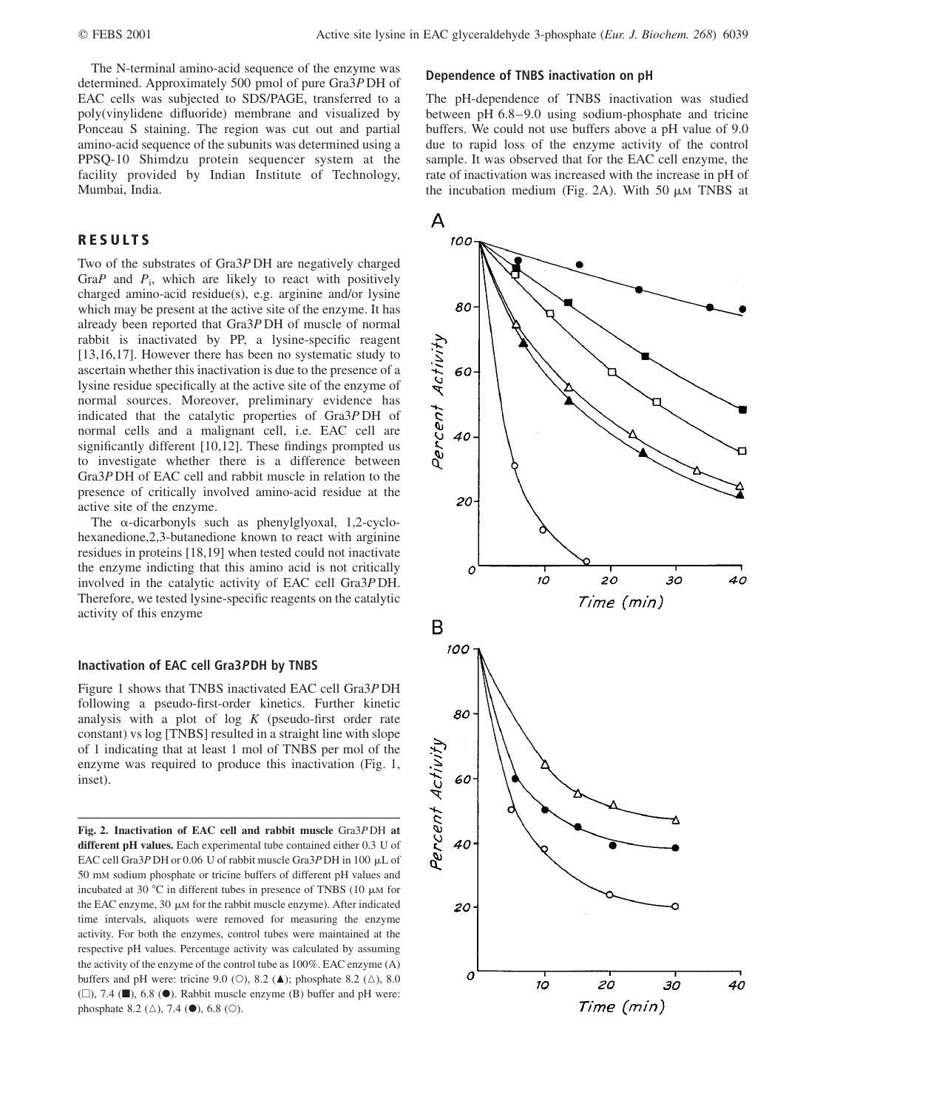The N-terminal amino-acid sequence of the enzyme was determined. Approximately 500 pmol of pure Gra3P DH of EAC cells was subjected to SDS/PAGE, transferred to a poly(vinylidene difluoride) membrane and visualized by Ponceau S staining. The region was cut out and partial amino-acid sequence of the subunits was determined using a PPSQ-10 Shimdzu protein sequencer system at the facility provided by Indian Institute of Technology, Mumbai, India.

## RESULTS

Two of the substrates of Gra3P DH are negatively charged Gra $P$  and  $P_i$ , which are likely to react with positively charged amino-acid residue(s), e.g. arginine and/or lysine which may be present at the active site of the enzyme. It has already been reported that Gra3P DH of muscle of normal rabbit is inactivated by PP, a lysine-specific reagent [13,16,17]. However there has been no systematic study to ascertain whether this inactivation is due to the presence of a lysine residue specifically at the active site of the enzyme of normal sources. Moreover, preliminary evidence has indicated that the catalytic properties of Gra3P DH of normal cells and a malignant cell, i.e. EAC cell are significantly different [10,12]. These findings prompted us to investigate whether there is a difference between Gra3P DH of EAC cell and rabbit muscle in relation to the presence of critically involved amino-acid residue at the active site of the enzyme.

The  $\alpha$ -dicarbonyls such as phenylglyoxal, 1,2-cyclohexanedione,2,3-butanedione known to react with arginine residues in proteins [18,19] when tested could not inactivate the enzyme indicting that this amino acid is not critically involved in the catalytic activity of EAC cell Gra3P DH. Therefore, we tested lysine-specific reagents on the catalytic activity of this enzyme

## Inactivation of EAC cell Gra3PDH by TNBS

Figure 1 shows that TNBS inactivated EAC cell Gra3P DH following a pseudo-first-order kinetics. Further kinetic analysis with a plot of  $log K$  (pseudo-first order rate constant) vs log [TNBS] resulted in a straight line with slope of 1 indicating that at least 1 mol of TNBS per mol of the enzyme was required to produce this inactivation (Fig. 1, inset).

Fig. 2. Inactivation of EAC cell and rabbit muscle Gra3P DH at different pH values. Each experimental tube contained either 0.3 U of EAC cell Gra3P DH or 0.06 U of rabbit muscle Gra3P DH in 100  $\mu$ L of 50 mM sodium phosphate or tricine buffers of different pH values and incubated at 30  $^{\circ}$ C in different tubes in presence of TNBS (10  $\mu$ M for the EAC enzyme, 30  $\mu$ M for the rabbit muscle enzyme). After indicated time intervals, aliquots were removed for measuring the enzyme activity. For both the enzymes, control tubes were maintained at the respective pH values. Percentage activity was calculated by assuming the activity of the enzyme of the control tube as 100%. EAC enzyme (A) buffers and pH were: tricine 9.0 (O), 8.2 ( $\triangle$ ); phosphate 8.2 ( $\triangle$ ), 8.0  $(\square)$ , 7.4 ( $\blacksquare$ ), 6.8 ( $\blacklozenge$ ). Rabbit muscle enzyme (B) buffer and pH were: phosphate 8.2  $(\triangle)$ , 7.4 ( $\bullet$ ), 6.8 ( $\circ$ ).

#### Dependence of TNBS inactivation on pH

The pH-dependence of TNBS inactivation was studied between pH 6.8–9.0 using sodium-phosphate and tricine buffers. We could not use buffers above a pH value of 9.0 due to rapid loss of the enzyme activity of the control sample. It was observed that for the EAC cell enzyme, the rate of inactivation was increased with the increase in pH of the incubation medium (Fig. 2A). With 50  $\mu$ M TNBS at

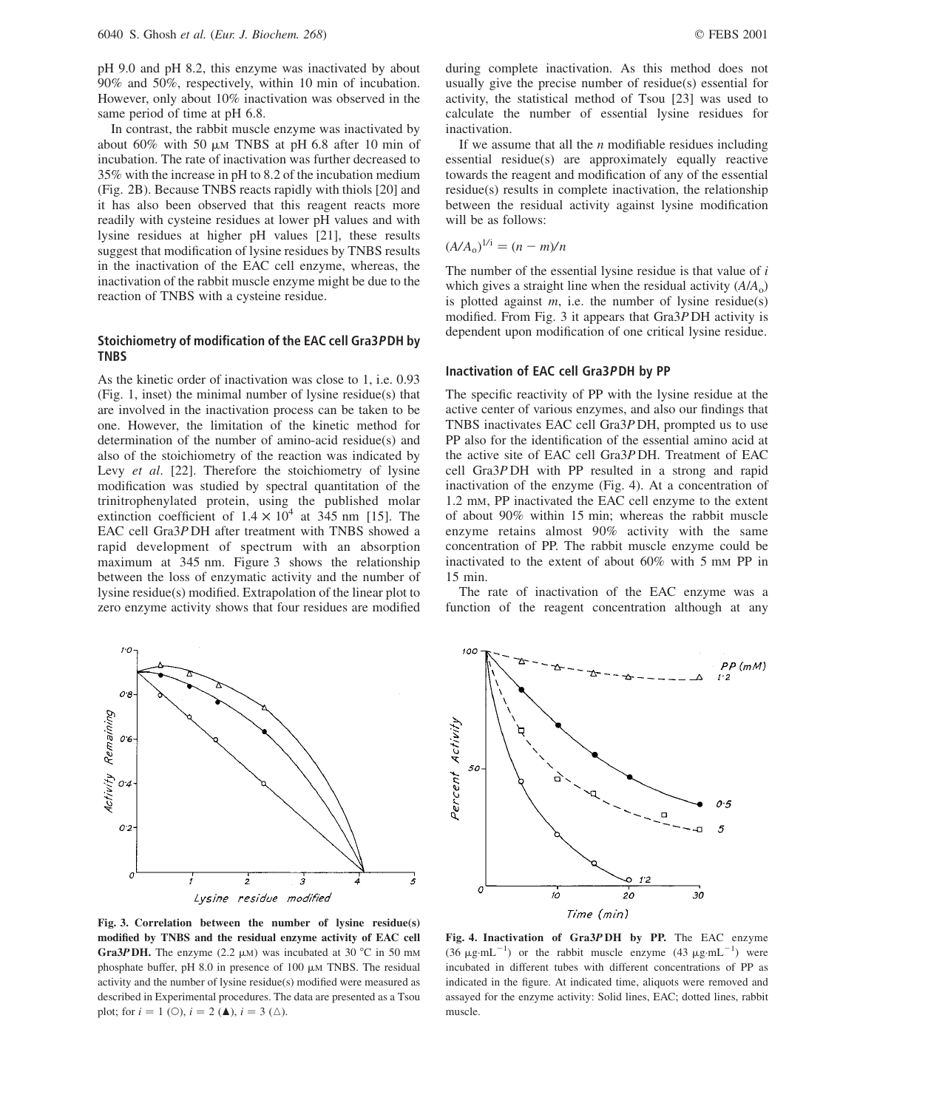pH 9.0 and pH 8.2, this enzyme was inactivated by about 90% and 50%, respectively, within 10 min of incubation. However, only about 10% inactivation was observed in the same period of time at pH 6.8.

In contrast, the rabbit muscle enzyme was inactivated by about 60% with 50  $\mu$ m TNBS at pH 6.8 after 10 min of incubation. The rate of inactivation was further decreased to 35% with the increase in pH to 8.2 of the incubation medium (Fig. 2B). Because TNBS reacts rapidly with thiols [20] and it has also been observed that this reagent reacts more readily with cysteine residues at lower pH values and with lysine residues at higher pH values [21], these results suggest that modification of lysine residues by TNBS results in the inactivation of the EAC cell enzyme, whereas, the inactivation of the rabbit muscle enzyme might be due to the reaction of TNBS with a cysteine residue.

#### Stoichiometry of modification of the EAC cell Gra3PDH by TNBS

As the kinetic order of inactivation was close to 1, i.e. 0.93 (Fig. 1, inset) the minimal number of lysine residue(s) that are involved in the inactivation process can be taken to be one. However, the limitation of the kinetic method for determination of the number of amino-acid residue(s) and also of the stoichiometry of the reaction was indicated by Levy et al. [22]. Therefore the stoichiometry of lysine modification was studied by spectral quantitation of the trinitrophenylated protein, using the published molar extinction coefficient of  $1.4 \times 10^4$  at 345 nm [15]. The EAC cell Gra3P DH after treatment with TNBS showed a rapid development of spectrum with an absorption maximum at 345 nm. Figure 3 shows the relationship between the loss of enzymatic activity and the number of lysine residue(s) modified. Extrapolation of the linear plot to zero enzyme activity shows that four residues are modified

 $10$  $O<sub>2</sub>$ Activity Remaining 06  $O<sub>2</sub>$  $O<sub>2</sub>$ 0 ż ś  $\overline{2}$ Lysine residue modified

Fig. 3. Correlation between the number of lysine residue(s) modified by TNBS and the residual enzyme activity of EAC cell Gra3P DH. The enzyme (2.2  $\mu$ M) was incubated at 30 °C in 50 mM phosphate buffer, pH 8.0 in presence of  $100 \mu M$  TNBS. The residual activity and the number of lysine residue(s) modified were measured as described in Experimental procedures. The data are presented as a Tsou plot; for  $i = 1$  (O),  $i = 2$  (**A**),  $i = 3$  ( $\triangle$ ).

If we assume that all the  $n$  modifiable residues including essential residue(s) are approximately equally reactive towards the reagent and modification of any of the essential residue(s) results in complete inactivation, the relationship between the residual activity against lysine modification will be as follows:

$$
\left(A/A_0\right)^{1/i} = \frac{(n-m)}{n}
$$

The number of the essential lysine residue is that value of  $i$ which gives a straight line when the residual activity  $(A/A_0)$ is plotted against  $m$ , i.e. the number of lysine residue(s) modified. From Fig. 3 it appears that Gra3P DH activity is dependent upon modification of one critical lysine residue.

## Inactivation of EAC cell Gra3PDH by PP

The specific reactivity of PP with the lysine residue at the active center of various enzymes, and also our findings that TNBS inactivates EAC cell Gra3P DH, prompted us to use PP also for the identification of the essential amino acid at the active site of EAC cell Gra3P DH. Treatment of EAC cell Gra3P DH with PP resulted in a strong and rapid inactivation of the enzyme (Fig. 4). At a concentration of 1.2 mM, PP inactivated the EAC cell enzyme to the extent of about 90% within 15 min; whereas the rabbit muscle enzyme retains almost 90% activity with the same concentration of PP. The rabbit muscle enzyme could be inactivated to the extent of about 60% with 5 mM PP in 15 min.

The rate of inactivation of the EAC enzyme was a function of the reagent concentration although at any



Fig. 4. Inactivation of Gra3P DH by PP. The EAC enzyme  $(36 \text{ }\mu\text{g} \cdot \text{mL}^{-1})$  or the rabbit muscle enzyme  $(43 \text{ }\mu\text{g} \cdot \text{mL}^{-1})$  were incubated in different tubes with different concentrations of PP as indicated in the figure. At indicated time, aliquots were removed and assayed for the enzyme activity: Solid lines, EAC; dotted lines, rabbit muscle.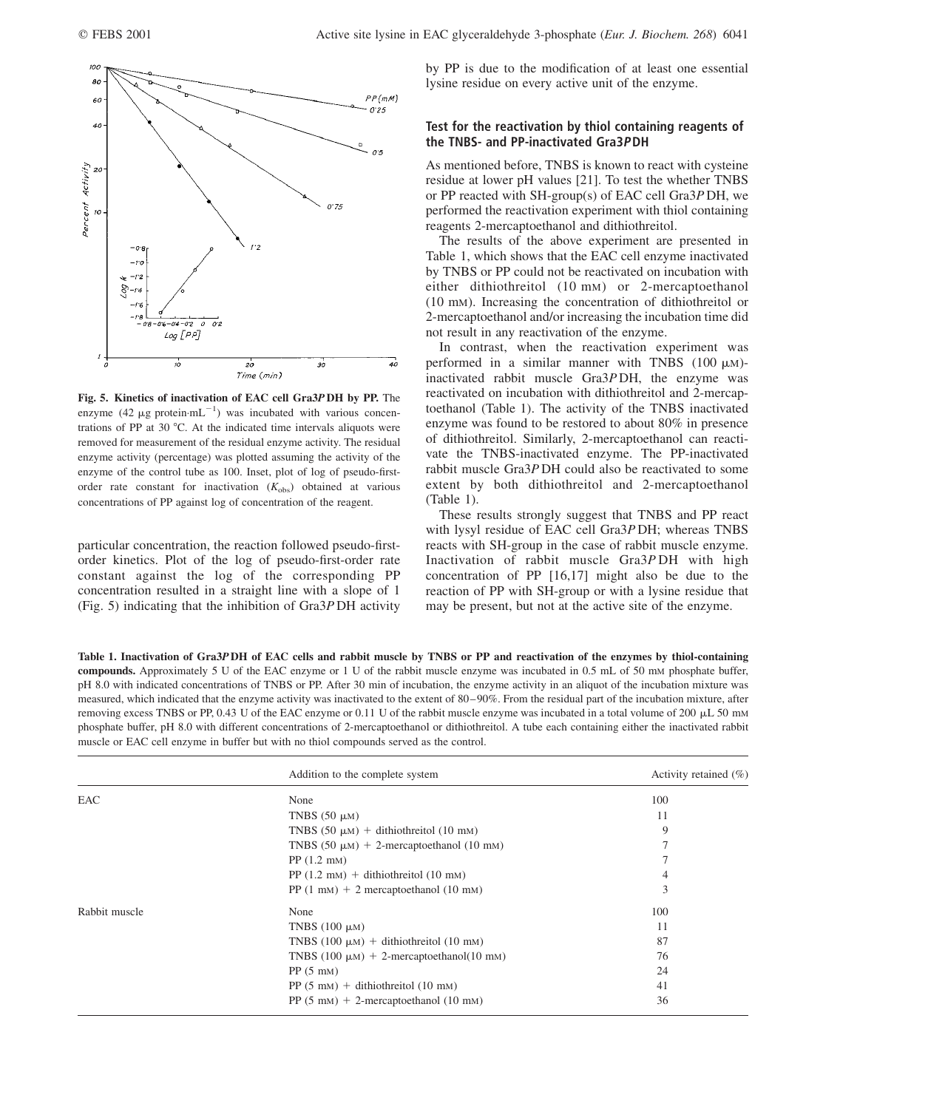

Fig. 5. Kinetics of inactivation of EAC cell Gra3P DH by PP. The enzyme (42  $\mu$ g protein·mL<sup>-1</sup>) was incubated with various concentrations of PP at 30 $^{\circ}$ C. At the indicated time intervals aliquots were removed for measurement of the residual enzyme activity. The residual enzyme activity (percentage) was plotted assuming the activity of the enzyme of the control tube as 100. Inset, plot of log of pseudo-firstorder rate constant for inactivation  $(K_{obs})$  obtained at various concentrations of PP against log of concentration of the reagent.

particular concentration, the reaction followed pseudo-firstorder kinetics. Plot of the log of pseudo-first-order rate constant against the log of the corresponding PP concentration resulted in a straight line with a slope of 1 (Fig. 5) indicating that the inhibition of Gra3P DH activity

by PP is due to the modification of at least one essential lysine residue on every active unit of the enzyme.

## Test for the reactivation by thiol containing reagents of the TNBS- and PP-inactivated Gra3PDH

As mentioned before, TNBS is known to react with cysteine residue at lower pH values [21]. To test the whether TNBS or PP reacted with SH-group(s) of EAC cell Gra3P DH, we performed the reactivation experiment with thiol containing reagents 2-mercaptoethanol and dithiothreitol.

The results of the above experiment are presented in Table 1, which shows that the EAC cell enzyme inactivated by TNBS or PP could not be reactivated on incubation with either dithiothreitol (10 mM) or 2-mercaptoethanol (10 mM). Increasing the concentration of dithiothreitol or 2-mercaptoethanol and/or increasing the incubation time did not result in any reactivation of the enzyme.

In contrast, when the reactivation experiment was performed in a similar manner with TNBS (100  $\mu$ M)inactivated rabbit muscle Gra3P DH, the enzyme was reactivated on incubation with dithiothreitol and 2-mercaptoethanol (Table 1). The activity of the TNBS inactivated enzyme was found to be restored to about 80% in presence of dithiothreitol. Similarly, 2-mercaptoethanol can reactivate the TNBS-inactivated enzyme. The PP-inactivated rabbit muscle Gra3P DH could also be reactivated to some extent by both dithiothreitol and 2-mercaptoethanol (Table 1).

These results strongly suggest that TNBS and PP react with lysyl residue of EAC cell Gra3P DH; whereas TNBS reacts with SH-group in the case of rabbit muscle enzyme. Inactivation of rabbit muscle Gra3P DH with high concentration of PP [16,17] might also be due to the reaction of PP with SH-group or with a lysine residue that may be present, but not at the active site of the enzyme.

Table 1. Inactivation of Gra3P DH of EAC cells and rabbit muscle by TNBS or PP and reactivation of the enzymes by thiol-containing compounds. Approximately 5 U of the EAC enzyme or 1 U of the rabbit muscle enzyme was incubated in 0.5 mL of 50 mM phosphate buffer, pH 8.0 with indicated concentrations of TNBS or PP. After 30 min of incubation, the enzyme activity in an aliquot of the incubation mixture was measured, which indicated that the enzyme activity was inactivated to the extent of 80 –90%. From the residual part of the incubation mixture, after removing excess TNBS or PP, 0.43 U of the EAC enzyme or 0.11 U of the rabbit muscle enzyme was incubated in a total volume of 200  $\mu$ L 50 mm phosphate buffer, pH 8.0 with different concentrations of 2-mercaptoethanol or dithiothreitol. A tube each containing either the inactivated rabbit muscle or EAC cell enzyme in buffer but with no thiol compounds served as the control.

|               | Addition to the complete system                            | Activity retained $(\% )$ |
|---------------|------------------------------------------------------------|---------------------------|
| EAC           | None                                                       | 100                       |
|               | TNBS $(50 \mu M)$                                          | 11                        |
|               | TNBS $(50 \mu M)$ + dithiothreitol $(10 \mu M)$            | 9                         |
|               | TNBS $(50 \mu M) + 2$ -mercaptoethanol $(10 \mu M)$        |                           |
|               | $PP(1.2 \text{ mm})$                                       |                           |
|               | PP $(1.2 \text{ mM})$ + dithiothreitol $(10 \text{ mM})$   | 4                         |
|               | PP $(1 \text{ mM}) + 2$ mercaptoethanol $(10 \text{ mM})$  | 3                         |
| Rabbit muscle | None                                                       | 100                       |
|               | TNBS $(100 \mu M)$                                         | 11                        |
|               | TNBS (100 $\mu$ m) + dithiothreitol (10 mm)                | 87                        |
|               | TNBS $(100 \mu M) + 2$ -mercaptoethanol $(10 \mu M)$       | 76                        |
|               | $PP(5 \text{ mm})$                                         | 24                        |
|               | $PP(5 \text{ mm}) +$ dithiothreitol (10 mm)                | 41                        |
|               | PP $(5 \text{ mM}) + 2$ -mercaptoethanol $(10 \text{ mM})$ | 36                        |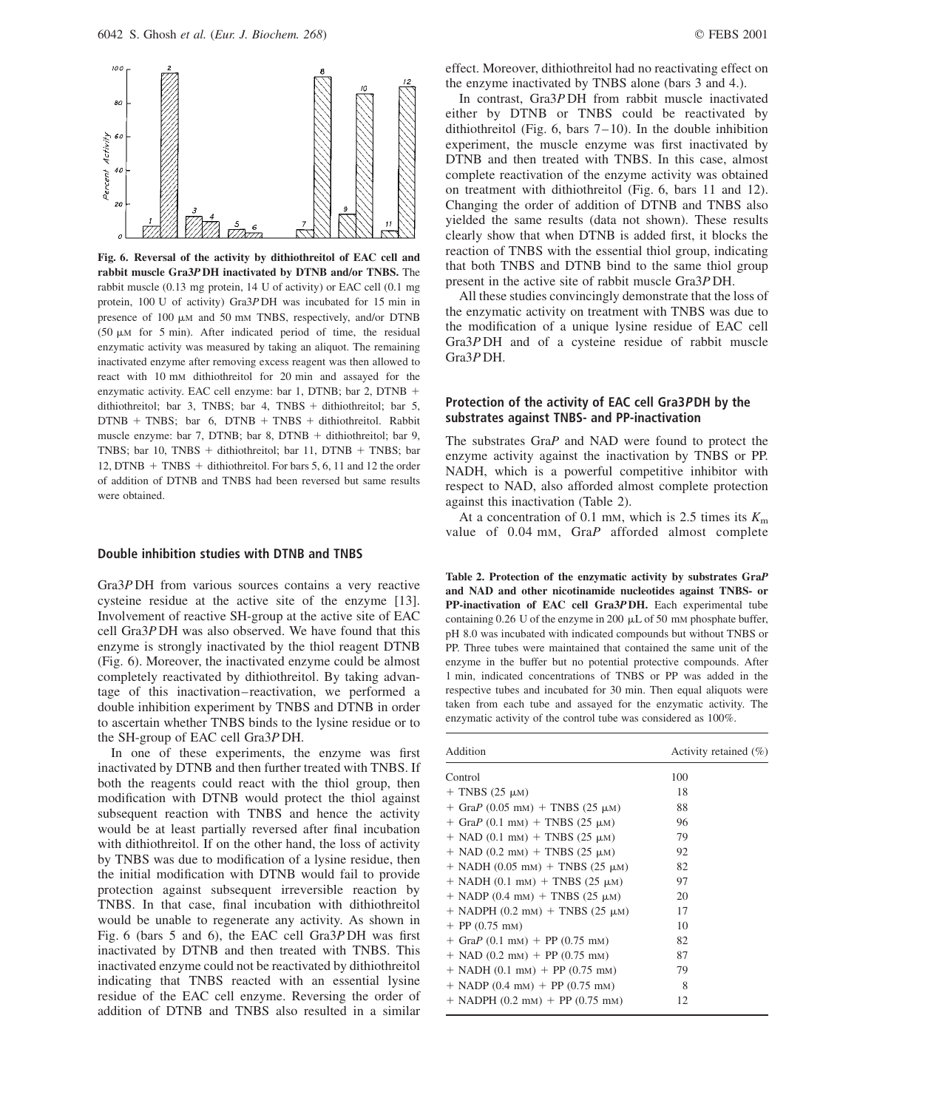

Fig. 6. Reversal of the activity by dithiothreitol of EAC cell and rabbit muscle Gra3P DH inactivated by DTNB and/or TNBS. The rabbit muscle (0.13 mg protein, 14 U of activity) or EAC cell (0.1 mg protein, 100 U of activity) Gra3P DH was incubated for 15 min in presence of 100  $\mu$ M and 50 mM TNBS, respectively, and/or DTNB (50  $\mu$ M for 5 min). After indicated period of time, the residual enzymatic activity was measured by taking an aliquot. The remaining inactivated enzyme after removing excess reagent was then allowed to react with 10 mM dithiothreitol for 20 min and assayed for the enzymatic activity. EAC cell enzyme: bar 1, DTNB; bar 2, DTNB + dithiothreitol; bar 3, TNBS; bar 4, TNBS + dithiothreitol; bar 5,  $DTNB + TNBS$ ; bar 6,  $DTNB + TNBS + dithiothreitol$ . Rabbit muscle enzyme: bar 7, DTNB; bar 8, DTNB + dithiothreitol; bar 9, TNBS; bar 10, TNBS + dithiothreitol; bar 11, DTNB + TNBS; bar 12, DTNB  $+$  TNBS  $+$  dithiothreitol. For bars 5, 6, 11 and 12 the order of addition of DTNB and TNBS had been reversed but same results were obtained.

#### Double inhibition studies with DTNB and TNBS

Gra3P DH from various sources contains a very reactive cysteine residue at the active site of the enzyme [13]. Involvement of reactive SH-group at the active site of EAC cell Gra3P DH was also observed. We have found that this enzyme is strongly inactivated by the thiol reagent DTNB (Fig. 6). Moreover, the inactivated enzyme could be almost completely reactivated by dithiothreitol. By taking advantage of this inactivation– reactivation, we performed a double inhibition experiment by TNBS and DTNB in order to ascertain whether TNBS binds to the lysine residue or to the SH-group of EAC cell Gra3P DH.

In one of these experiments, the enzyme was first inactivated by DTNB and then further treated with TNBS. If both the reagents could react with the thiol group, then modification with DTNB would protect the thiol against subsequent reaction with TNBS and hence the activity would be at least partially reversed after final incubation with dithiothreitol. If on the other hand, the loss of activity by TNBS was due to modification of a lysine residue, then the initial modification with DTNB would fail to provide protection against subsequent irreversible reaction by TNBS. In that case, final incubation with dithiothreitol would be unable to regenerate any activity. As shown in Fig. 6 (bars 5 and 6), the EAC cell Gra3P DH was first inactivated by DTNB and then treated with TNBS. This inactivated enzyme could not be reactivated by dithiothreitol indicating that TNBS reacted with an essential lysine residue of the EAC cell enzyme. Reversing the order of addition of DTNB and TNBS also resulted in a similar effect. Moreover, dithiothreitol had no reactivating effect on the enzyme inactivated by TNBS alone (bars 3 and 4.).

In contrast, Gra3P DH from rabbit muscle inactivated either by DTNB or TNBS could be reactivated by dithiothreitol (Fig. 6, bars  $7-10$ ). In the double inhibition experiment, the muscle enzyme was first inactivated by DTNB and then treated with TNBS. In this case, almost complete reactivation of the enzyme activity was obtained on treatment with dithiothreitol (Fig. 6, bars 11 and 12). Changing the order of addition of DTNB and TNBS also yielded the same results (data not shown). These results clearly show that when DTNB is added first, it blocks the reaction of TNBS with the essential thiol group, indicating that both TNBS and DTNB bind to the same thiol group present in the active site of rabbit muscle Gra3P DH.

All these studies convincingly demonstrate that the loss of the enzymatic activity on treatment with TNBS was due to the modification of a unique lysine residue of EAC cell Gra3P DH and of a cysteine residue of rabbit muscle Gra3P DH.

## Protection of the activity of EAC cell Gra3PDH by the substrates against TNBS- and PP-inactivation

The substrates GraP and NAD were found to protect the enzyme activity against the inactivation by TNBS or PP. NADH, which is a powerful competitive inhibitor with respect to NAD, also afforded almost complete protection against this inactivation (Table 2).

At a concentration of 0.1 mm, which is 2.5 times its  $K<sub>m</sub>$ value of 0.04 mM, GraP afforded almost complete

Table 2. Protection of the enzymatic activity by substrates GraP and NAD and other nicotinamide nucleotides against TNBS- or PP-inactivation of EAC cell Gra3P DH. Each experimental tube containing  $0.26$  U of the enzyme in 200  $\mu$ L of 50 mM phosphate buffer, pH 8.0 was incubated with indicated compounds but without TNBS or PP. Three tubes were maintained that contained the same unit of the enzyme in the buffer but no potential protective compounds. After 1 min, indicated concentrations of TNBS or PP was added in the respective tubes and incubated for 30 min. Then equal aliquots were taken from each tube and assayed for the enzymatic activity. The enzymatic activity of the control tube was considered as 100%.

| Addition                                             | Activity retained $(\% )$ |  |
|------------------------------------------------------|---------------------------|--|
| Control                                              | 100                       |  |
| $+$ TNBS (25 $\mu$ M)                                | 18                        |  |
| $+$ GraP (0.05 mm) + TNBS (25 µm)                    | 88                        |  |
| + GraP $(0.1 \text{ mm})$ + TNBS $(25 \mu \text{m})$ | 96                        |  |
| $+$ NAD (0.1 mm) $+$ TNBS (25 $\mu$ m)               | 79                        |  |
| $+$ NAD (0.2 mM) $+$ TNBS (25 $\mu$ M)               | 92                        |  |
| $+$ NADH (0.05 mm) $+$ TNBS (25 $\mu$ m)             | 82                        |  |
| $+$ NADH (0.1 mm) $+$ TNBS (25 $\mu$ m)              | 97                        |  |
| $+$ NADP (0.4 mm) + TNBS (25 $\mu$ m)                | 20                        |  |
| $+$ NADPH (0.2 mm) $+$ TNBS (25 $\mu$ m)             | 17                        |  |
| $+$ PP (0.75 mm)                                     | 10                        |  |
| $+$ GraP (0.1 mM) + PP (0.75 mM)                     | 82                        |  |
| $+$ NAD (0.2 mM) + PP (0.75 mM)                      | 87                        |  |
| $+$ NADH (0.1 mm) + PP (0.75 mm)                     | 79                        |  |
| $+$ NADP (0.4 mM) + PP (0.75 mM)                     | 8                         |  |
| $+$ NADPH (0.2 mM) $+$ PP (0.75 mM)                  | 12                        |  |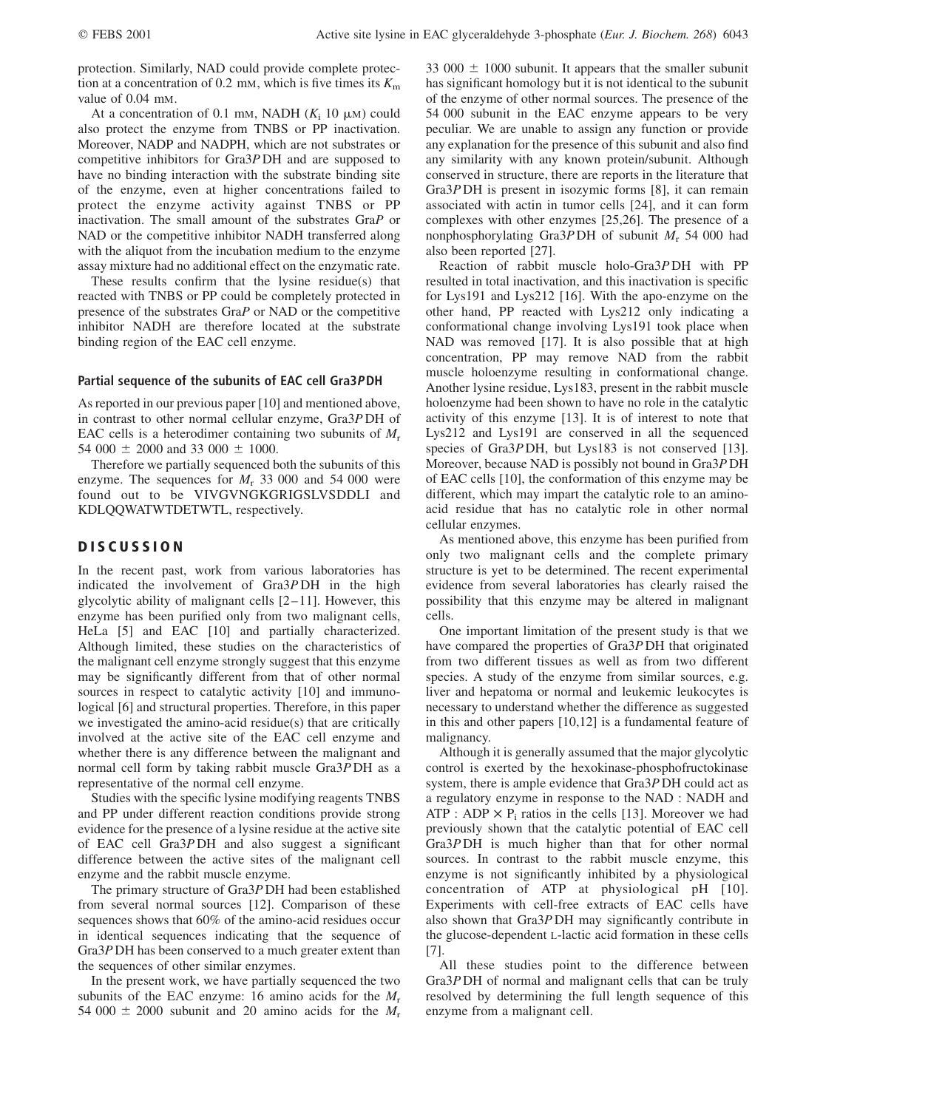protection. Similarly, NAD could provide complete protection at a concentration of 0.2 mM, which is five times its  $K<sub>m</sub>$ value of 0.04 mM.

At a concentration of 0.1 mm, NADH  $(K<sub>i</sub> 10 \mu M)$  could also protect the enzyme from TNBS or PP inactivation. Moreover, NADP and NADPH, which are not substrates or competitive inhibitors for Gra3P DH and are supposed to have no binding interaction with the substrate binding site of the enzyme, even at higher concentrations failed to protect the enzyme activity against TNBS or PP inactivation. The small amount of the substrates GraP or NAD or the competitive inhibitor NADH transferred along with the aliquot from the incubation medium to the enzyme assay mixture had no additional effect on the enzymatic rate.

These results confirm that the lysine residue(s) that reacted with TNBS or PP could be completely protected in presence of the substrates GraP or NAD or the competitive inhibitor NADH are therefore located at the substrate binding region of the EAC cell enzyme.

#### Partial sequence of the subunits of EAC cell Gra3PDH

As reported in our previous paper [10] and mentioned above, in contrast to other normal cellular enzyme, Gra3P DH of EAC cells is a heterodimer containing two subunits of  $M_r$ 54 000  $\pm$  2000 and 33 000  $\pm$  1000.

Therefore we partially sequenced both the subunits of this enzyme. The sequences for  $M_r$  33 000 and 54 000 were found out to be VIVGVNGKGRIGSLVSDDLI and KDLQQWATWTDETWTL, respectively.

## **DISCUSSION**

In the recent past, work from various laboratories has indicated the involvement of Gra3P DH in the high glycolytic ability of malignant cells  $[2-11]$ . However, this enzyme has been purified only from two malignant cells, HeLa [5] and EAC [10] and partially characterized. Although limited, these studies on the characteristics of the malignant cell enzyme strongly suggest that this enzyme may be significantly different from that of other normal sources in respect to catalytic activity [10] and immunological [6] and structural properties. Therefore, in this paper we investigated the amino-acid residue(s) that are critically involved at the active site of the EAC cell enzyme and whether there is any difference between the malignant and normal cell form by taking rabbit muscle Gra3P DH as a representative of the normal cell enzyme.

Studies with the specific lysine modifying reagents TNBS and PP under different reaction conditions provide strong evidence for the presence of a lysine residue at the active site of EAC cell Gra3P DH and also suggest a significant difference between the active sites of the malignant cell enzyme and the rabbit muscle enzyme.

The primary structure of Gra3P DH had been established from several normal sources [12]. Comparison of these sequences shows that 60% of the amino-acid residues occur in identical sequences indicating that the sequence of Gra3P DH has been conserved to a much greater extent than the sequences of other similar enzymes.

In the present work, we have partially sequenced the two subunits of the EAC enzyme: 16 amino acids for the  $M_r$ 54 000  $\pm$  2000 subunit and 20 amino acids for the  $M_r$ 

33 000  $\pm$  1000 subunit. It appears that the smaller subunit has significant homology but it is not identical to the subunit of the enzyme of other normal sources. The presence of the 54 000 subunit in the EAC enzyme appears to be very peculiar. We are unable to assign any function or provide any explanation for the presence of this subunit and also find any similarity with any known protein/subunit. Although conserved in structure, there are reports in the literature that Gra3P DH is present in isozymic forms [8], it can remain associated with actin in tumor cells [24], and it can form complexes with other enzymes [25,26]. The presence of a nonphosphorylating Gra3P DH of subunit  $M_r$  54 000 had also been reported [27].

Reaction of rabbit muscle holo-Gra3P DH with PP resulted in total inactivation, and this inactivation is specific for Lys191 and Lys212 [16]. With the apo-enzyme on the other hand, PP reacted with Lys212 only indicating a conformational change involving Lys191 took place when NAD was removed [17]. It is also possible that at high concentration, PP may remove NAD from the rabbit muscle holoenzyme resulting in conformational change. Another lysine residue, Lys183, present in the rabbit muscle holoenzyme had been shown to have no role in the catalytic activity of this enzyme [13]. It is of interest to note that Lys212 and Lys191 are conserved in all the sequenced species of Gra3P DH, but Lys183 is not conserved [13]. Moreover, because NAD is possibly not bound in Gra3P DH of EAC cells [10], the conformation of this enzyme may be different, which may impart the catalytic role to an aminoacid residue that has no catalytic role in other normal cellular enzymes.

As mentioned above, this enzyme has been purified from only two malignant cells and the complete primary structure is yet to be determined. The recent experimental evidence from several laboratories has clearly raised the possibility that this enzyme may be altered in malignant cells.

One important limitation of the present study is that we have compared the properties of Gra3P DH that originated from two different tissues as well as from two different species. A study of the enzyme from similar sources, e.g. liver and hepatoma or normal and leukemic leukocytes is necessary to understand whether the difference as suggested in this and other papers [10,12] is a fundamental feature of malignancy.

Although it is generally assumed that the major glycolytic control is exerted by the hexokinase-phosphofructokinase system, there is ample evidence that Gra3P DH could act as a regulatory enzyme in response to the NAD : NADH and ATP : ADP  $\times$  P<sub>i</sub> ratios in the cells [13]. Moreover we had previously shown that the catalytic potential of EAC cell Gra3P DH is much higher than that for other normal sources. In contrast to the rabbit muscle enzyme, this enzyme is not significantly inhibited by a physiological concentration of ATP at physiological pH [10]. Experiments with cell-free extracts of EAC cells have also shown that Gra3P DH may significantly contribute in the glucose-dependent L-lactic acid formation in these cells [7].

All these studies point to the difference between Gra3P DH of normal and malignant cells that can be truly resolved by determining the full length sequence of this enzyme from a malignant cell.